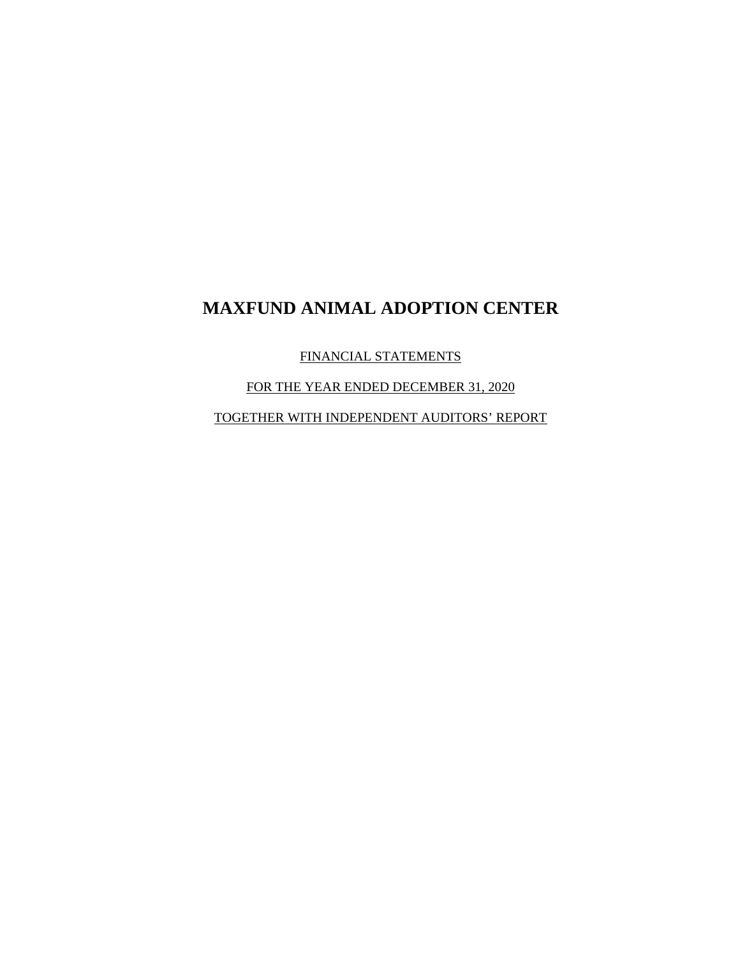FINANCIAL STATEMENTS

FOR THE YEAR ENDED DECEMBER 31, 2020

TOGETHER WITH INDEPENDENT AUDITORS' REPORT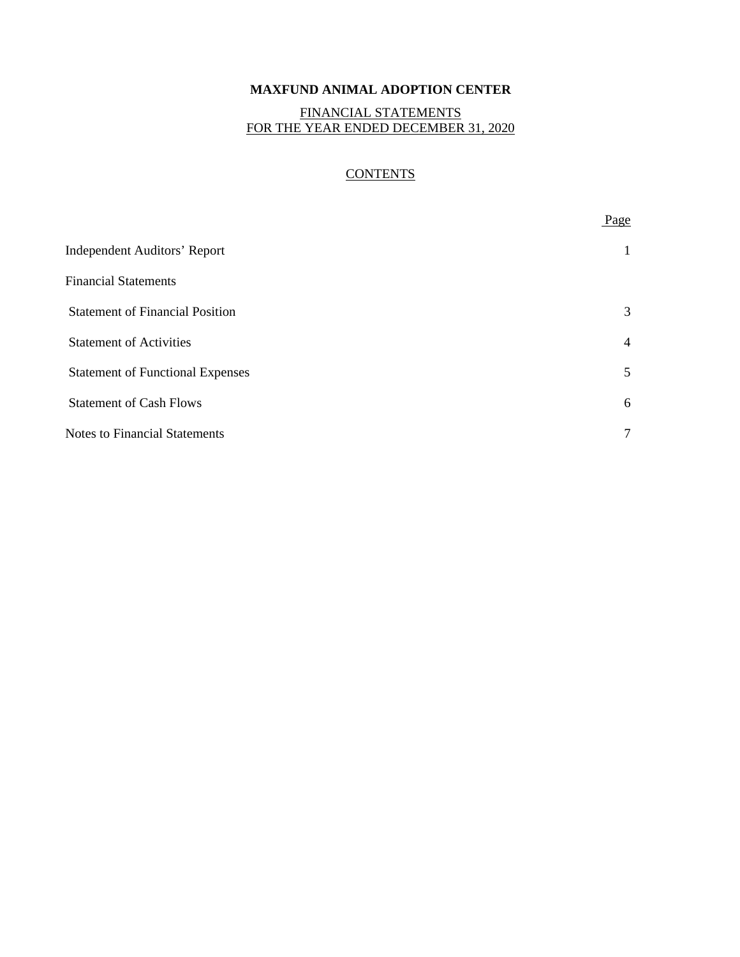### FINANCIAL STATEMENTS FOR THE YEAR ENDED DECEMBER 31, 2020

# **CONTENTS**

|                                         | Page           |
|-----------------------------------------|----------------|
| <b>Independent Auditors' Report</b>     | 1              |
| <b>Financial Statements</b>             |                |
| <b>Statement of Financial Position</b>  | 3              |
| <b>Statement of Activities</b>          | $\overline{4}$ |
| <b>Statement of Functional Expenses</b> | 5              |
| <b>Statement of Cash Flows</b>          | 6              |
| <b>Notes to Financial Statements</b>    | 7              |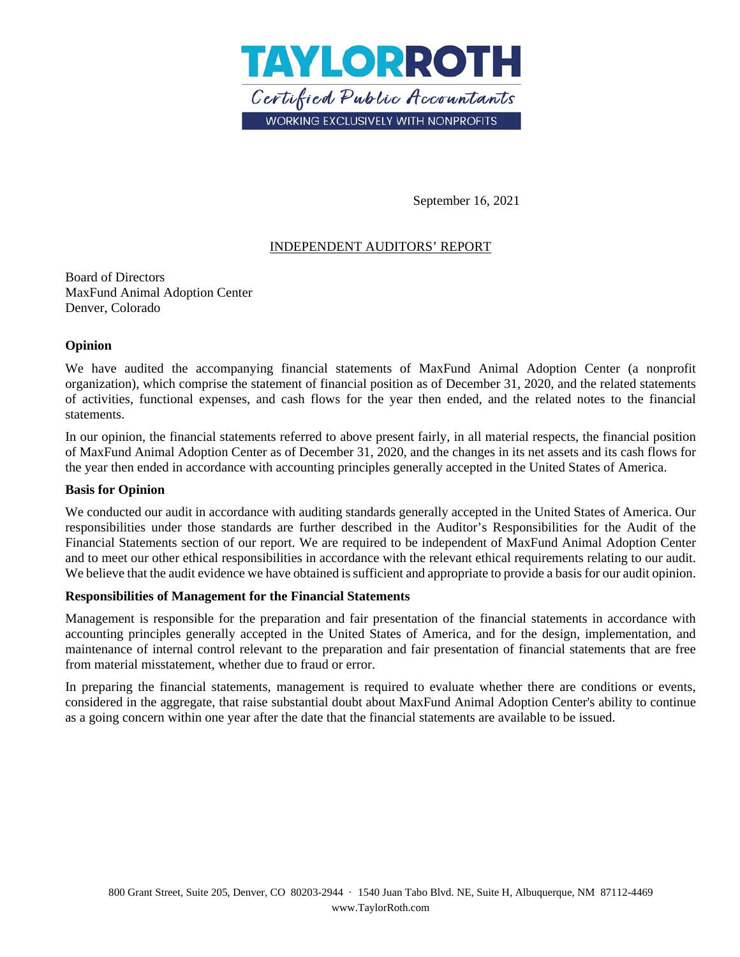

September 16, 2021

# INDEPENDENT AUDITORS' REPORT

Board of Directors MaxFund Animal Adoption Center Denver, Colorado

### **Opinion**

We have audited the accompanying financial statements of MaxFund Animal Adoption Center (a nonprofit organization), which comprise the statement of financial position as of December 31, 2020, and the related statements of activities, functional expenses, and cash flows for the year then ended, and the related notes to the financial statements.

In our opinion, the financial statements referred to above present fairly, in all material respects, the financial position of MaxFund Animal Adoption Center as of December 31, 2020, and the changes in its net assets and its cash flows for the year then ended in accordance with accounting principles generally accepted in the United States of America.

#### **Basis for Opinion**

We conducted our audit in accordance with auditing standards generally accepted in the United States of America. Our responsibilities under those standards are further described in the Auditor's Responsibilities for the Audit of the Financial Statements section of our report. We are required to be independent of MaxFund Animal Adoption Center and to meet our other ethical responsibilities in accordance with the relevant ethical requirements relating to our audit. We believe that the audit evidence we have obtained is sufficient and appropriate to provide a basis for our audit opinion.

#### **Responsibilities of Management for the Financial Statements**

Management is responsible for the preparation and fair presentation of the financial statements in accordance with accounting principles generally accepted in the United States of America, and for the design, implementation, and maintenance of internal control relevant to the preparation and fair presentation of financial statements that are free from material misstatement, whether due to fraud or error.

In preparing the financial statements, management is required to evaluate whether there are conditions or events, considered in the aggregate, that raise substantial doubt about MaxFund Animal Adoption Center's ability to continue as a going concern within one year after the date that the financial statements are available to be issued.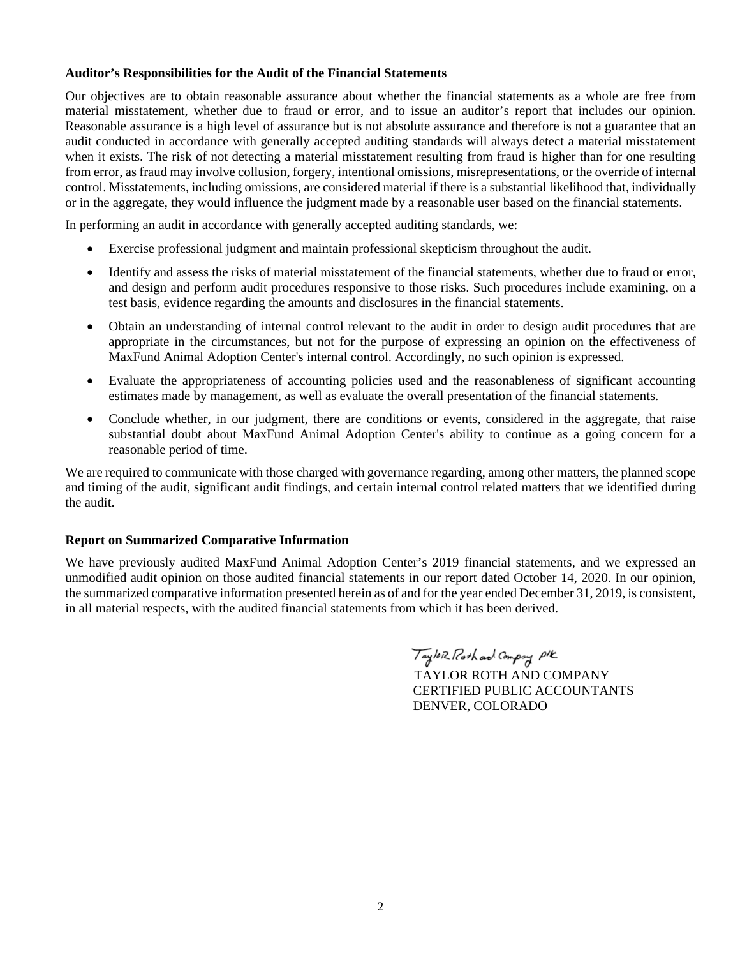#### **Auditor's Responsibilities for the Audit of the Financial Statements**

Our objectives are to obtain reasonable assurance about whether the financial statements as a whole are free from material misstatement, whether due to fraud or error, and to issue an auditor's report that includes our opinion. Reasonable assurance is a high level of assurance but is not absolute assurance and therefore is not a guarantee that an audit conducted in accordance with generally accepted auditing standards will always detect a material misstatement when it exists. The risk of not detecting a material misstatement resulting from fraud is higher than for one resulting from error, as fraud may involve collusion, forgery, intentional omissions, misrepresentations, or the override of internal control. Misstatements, including omissions, are considered material if there is a substantial likelihood that, individually or in the aggregate, they would influence the judgment made by a reasonable user based on the financial statements.

In performing an audit in accordance with generally accepted auditing standards, we:

- Exercise professional judgment and maintain professional skepticism throughout the audit.
- Identify and assess the risks of material misstatement of the financial statements, whether due to fraud or error, and design and perform audit procedures responsive to those risks. Such procedures include examining, on a test basis, evidence regarding the amounts and disclosures in the financial statements.
- Obtain an understanding of internal control relevant to the audit in order to design audit procedures that are appropriate in the circumstances, but not for the purpose of expressing an opinion on the effectiveness of MaxFund Animal Adoption Center's internal control. Accordingly, no such opinion is expressed.
- Evaluate the appropriateness of accounting policies used and the reasonableness of significant accounting estimates made by management, as well as evaluate the overall presentation of the financial statements.
- Conclude whether, in our judgment, there are conditions or events, considered in the aggregate, that raise substantial doubt about MaxFund Animal Adoption Center's ability to continue as a going concern for a reasonable period of time.

We are required to communicate with those charged with governance regarding, among other matters, the planned scope and timing of the audit, significant audit findings, and certain internal control related matters that we identified during the audit.

#### **Report on Summarized Comparative Information**

We have previously audited MaxFund Animal Adoption Center's 2019 financial statements, and we expressed an unmodified audit opinion on those audited financial statements in our report dated October 14, 2020. In our opinion, the summarized comparative information presented herein as of and for the year ended December 31, 2019, is consistent, in all material respects, with the audited financial statements from which it has been derived.

> Taylor Roth and Compay PIK TAYLOR ROTH AND COMPANY CERTIFIED PUBLIC ACCOUNTANTS DENVER, COLORADO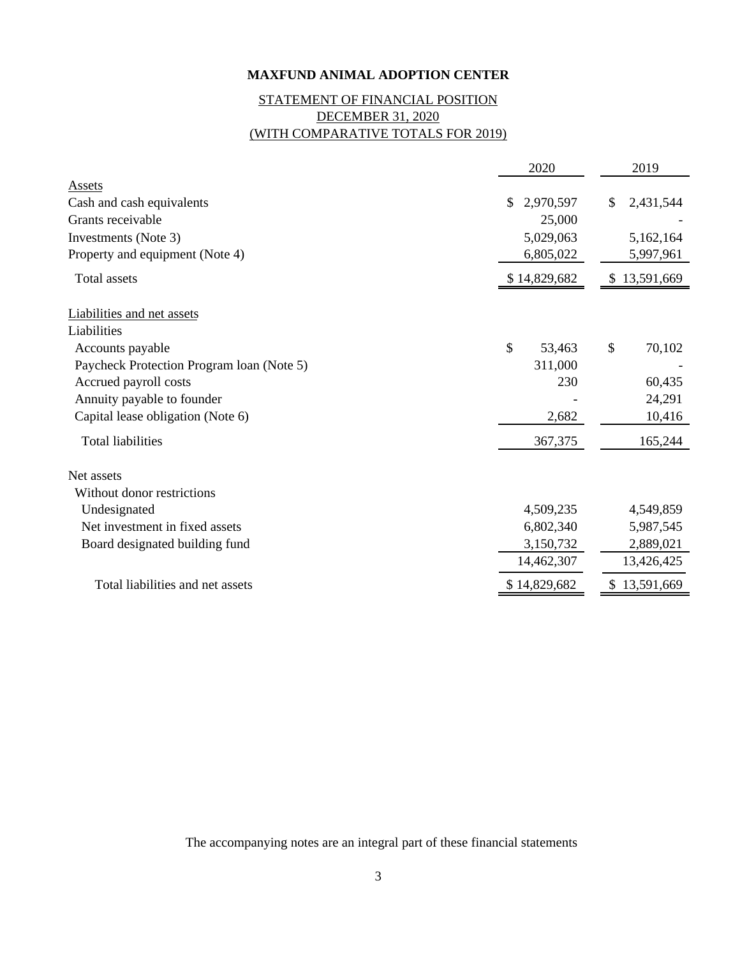# STATEMENT OF FINANCIAL POSITION DECEMBER 31, 2020 (WITH COMPARATIVE TOTALS FOR 2019)

|                                           | 2020            | 2019            |
|-------------------------------------------|-----------------|-----------------|
| Assets                                    |                 |                 |
| Cash and cash equivalents                 | \$<br>2,970,597 | \$<br>2,431,544 |
| Grants receivable                         | 25,000          |                 |
| Investments (Note 3)                      | 5,029,063       | 5,162,164       |
| Property and equipment (Note 4)           | 6,805,022       | 5,997,961       |
| <b>Total assets</b>                       | \$14,829,682    | \$13,591,669    |
| Liabilities and net assets                |                 |                 |
| Liabilities                               |                 |                 |
| Accounts payable                          | \$<br>53,463    | \$<br>70,102    |
| Paycheck Protection Program loan (Note 5) | 311,000         |                 |
| Accrued payroll costs                     | 230             | 60,435          |
| Annuity payable to founder                |                 | 24,291          |
| Capital lease obligation (Note 6)         | 2,682           | 10,416          |
| <b>Total liabilities</b>                  | 367,375         | 165,244         |
| Net assets                                |                 |                 |
| Without donor restrictions                |                 |                 |
| Undesignated                              | 4,509,235       | 4,549,859       |
| Net investment in fixed assets            | 6,802,340       | 5,987,545       |
| Board designated building fund            | 3,150,732       | 2,889,021       |
|                                           | 14,462,307      | 13,426,425      |
| Total liabilities and net assets          | \$14,829,682    | \$13,591,669    |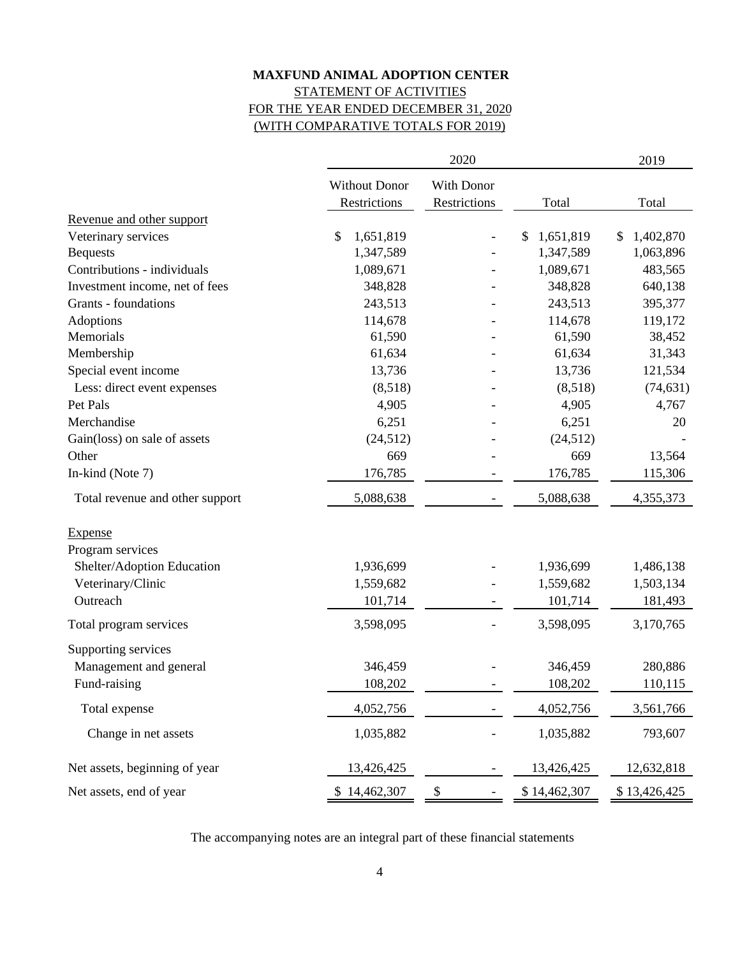# **MAXFUND ANIMAL ADOPTION CENTER** STATEMENT OF ACTIVITIES FOR THE YEAR ENDED DECEMBER 31, 2020 (WITH COMPARATIVE TOTALS FOR 2019)

|                                 | 2020                                 |                            |                  | 2019            |  |
|---------------------------------|--------------------------------------|----------------------------|------------------|-----------------|--|
|                                 | <b>Without Donor</b><br>Restrictions | With Donor<br>Restrictions | Total            | Total           |  |
| Revenue and other support       |                                      |                            |                  |                 |  |
| Veterinary services             | 1,651,819<br>\$                      |                            | 1,651,819<br>\$. | 1,402,870<br>\$ |  |
| <b>Bequests</b>                 | 1,347,589                            |                            | 1,347,589        | 1,063,896       |  |
| Contributions - individuals     | 1,089,671                            |                            | 1,089,671        | 483,565         |  |
| Investment income, net of fees  | 348,828                              |                            | 348,828          | 640,138         |  |
| Grants - foundations            | 243,513                              |                            | 243,513          | 395,377         |  |
| Adoptions                       | 114,678                              |                            | 114,678          | 119,172         |  |
| Memorials                       | 61,590                               |                            | 61,590           | 38,452          |  |
| Membership                      | 61,634                               |                            | 61,634           | 31,343          |  |
| Special event income            | 13,736                               |                            | 13,736           | 121,534         |  |
| Less: direct event expenses     | (8,518)                              |                            | (8,518)          | (74, 631)       |  |
| Pet Pals                        | 4,905                                |                            | 4,905            | 4,767           |  |
| Merchandise                     | 6,251                                |                            | 6,251            | 20              |  |
| Gain(loss) on sale of assets    | (24, 512)                            |                            | (24,512)         |                 |  |
| Other                           | 669                                  |                            | 669              | 13,564          |  |
| In-kind (Note 7)                | 176,785                              |                            | 176,785          | 115,306         |  |
| Total revenue and other support | 5,088,638                            |                            | 5,088,638        | 4,355,373       |  |
| <b>Expense</b>                  |                                      |                            |                  |                 |  |
| Program services                |                                      |                            |                  |                 |  |
| Shelter/Adoption Education      | 1,936,699                            |                            | 1,936,699        | 1,486,138       |  |
| Veterinary/Clinic               | 1,559,682                            |                            | 1,559,682        | 1,503,134       |  |
| Outreach                        | 101,714                              |                            | 101,714          | 181,493         |  |
| Total program services          | 3,598,095                            |                            | 3,598,095        | 3,170,765       |  |
| Supporting services             |                                      |                            |                  |                 |  |
| Management and general          | 346,459                              |                            | 346,459          | 280,886         |  |
| Fund-raising                    | 108,202                              |                            | 108,202          | 110,115         |  |
| Total expense                   | 4,052,756                            |                            | 4,052,756        | 3,561,766       |  |
| Change in net assets            | 1,035,882                            |                            | 1,035,882        | 793,607         |  |
| Net assets, beginning of year   | 13,426,425                           |                            | 13,426,425       | 12,632,818      |  |
| Net assets, end of year         | \$14,462,307                         | \$                         | \$14,462,307     | \$13,426,425    |  |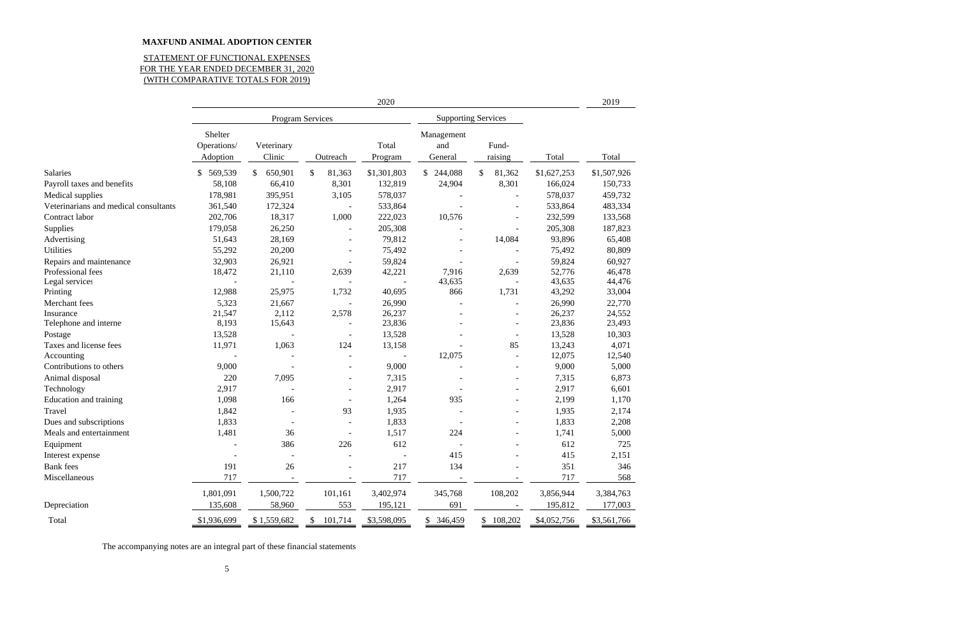|                                       | 2020                               |                      |                          |                  | 2019                         |                          |             |             |
|---------------------------------------|------------------------------------|----------------------|--------------------------|------------------|------------------------------|--------------------------|-------------|-------------|
|                                       | Program Services                   |                      |                          |                  | <b>Supporting Services</b>   |                          |             |             |
|                                       | Shelter<br>Operations/<br>Adoption | Veterinary<br>Clinic | Outreach                 | Total<br>Program | Management<br>and<br>General | Fund-<br>raising         | Total       | Total       |
| Salaries                              | 569,539<br>\$                      | 650,901<br>\$        | \$<br>81,363             | \$1,301,803      | 244,088<br>\$                | \$<br>81,362             | \$1,627,253 | \$1,507,926 |
| Payroll taxes and benefits            | 58,108                             | 66,410               | 8,301                    | 132,819          | 24,904                       | 8,301                    | 166,024     | 150,733     |
| Medical supplies                      | 178,981                            | 395,951              | 3,105                    | 578,037          |                              |                          | 578,037     | 459,732     |
| Veterinarians and medical consultants | 361,540                            | 172,324              |                          | 533,864          |                              |                          | 533,864     | 483,334     |
| Contract labor                        | 202,706                            | 18,317               | 1,000                    | 222,023          | 10,576                       |                          | 232,599     | 133,568     |
| Supplies                              | 179,058                            | 26,250               |                          | 205,308          |                              |                          | 205,308     | 187,823     |
| Advertising                           | 51,643                             | 28,169               | $\overline{\phantom{a}}$ | 79,812           | $\overline{\phantom{a}}$     | 14,084                   | 93,896      | 65,408      |
| Utilities                             | 55,292                             | 20,200               |                          | 75,492           |                              |                          | 75,492      | 80,809      |
| Repairs and maintenance               | 32,903                             | 26,921               |                          | 59,824           |                              |                          | 59,824      | 60,927      |
| Professional fees                     | 18,472                             | 21,110               | 2,639                    | 42,221           | 7,916                        | 2,639                    | 52,776      | 46,478      |
| Legal services                        |                                    |                      |                          |                  | 43,635                       |                          | 43,635      | 44,476      |
| Printing                              | 12,988                             | 25,975               | 1,732                    | 40,695           | 866                          | 1,731                    | 43,292      | 33,004      |
| Merchant fees                         | 5,323                              | 21,667               |                          | 26,990           |                              |                          | 26,990      | 22,770      |
| Insurance                             | 21,547                             | 2,112                | 2,578                    | 26,237           |                              | $\overline{\phantom{a}}$ | 26,237      | 24,552      |
| Telephone and interne                 | 8,193                              | 15,643               |                          | 23,836           |                              | $\overline{\phantom{0}}$ | 23,836      | 23,493      |
| Postage                               | 13,528                             |                      | $\overline{\phantom{a}}$ | 13,528           |                              | $\overline{\phantom{m}}$ | 13,528      | 10,303      |
| Taxes and license fees                | 11,971                             | 1,063                | 124                      | 13,158           |                              | 85                       | 13,243      | 4,071       |
| Accounting                            |                                    |                      |                          |                  | 12,075                       | $\overline{\phantom{0}}$ | 12,075      | 12,540      |
| Contributions to others               | 9,000                              |                      |                          | 9,000            |                              |                          | 9,000       | 5,000       |
| Animal disposal                       | 220                                | 7,095                |                          | 7,315            |                              |                          | 7,315       | 6,873       |
| Technology                            | 2,917                              |                      | $\overline{\phantom{a}}$ | 2,917            |                              |                          | 2,917       | 6,601       |
| Education and training                | 1,098                              | 166                  | $\overline{\phantom{a}}$ | 1,264            | 935                          | $\overline{\phantom{a}}$ | 2,199       | 1,170       |
| Travel                                | 1,842                              |                      | 93                       | 1,935            |                              |                          | 1,935       | 2,174       |
| Dues and subscriptions                | 1,833                              |                      |                          | 1,833            |                              |                          | 1,833       | 2,208       |
| Meals and entertainment               | 1,481                              | 36                   |                          | 1,517            | 224                          |                          | 1,741       | 5,000       |
| Equipment                             |                                    | 386                  | 226                      | 612              |                              |                          | 612         | 725         |
| Interest expense                      |                                    |                      |                          |                  | 415                          |                          | 415         | 2,151       |
| <b>Bank</b> fees                      | 191                                | 26                   |                          | 217              | 134                          |                          | 351         | 346         |
| Miscellaneous                         | 717                                |                      |                          | 717              |                              |                          | 717         | 568         |
|                                       | 1,801,091                          | 1,500,722            | 101,161                  | 3,402,974        | 345,768                      | 108,202                  | 3,856,944   | 3,384,763   |
| Depreciation                          | 135,608                            | 58,960               | 553                      | 195,121          | 691                          |                          | 195,812     | 177,003     |
| Total                                 | \$1,936,699                        | \$1,559,682          | 101,714<br>\$            | \$3,598,095      | \$ 346,459                   | \$108,202                | \$4,052,756 | \$3,561,766 |

# STATEMENT OF FUNCTIONAL EXPENSES FOR THE YEAR ENDED DECEMBER 31, 2020 (WITH COMPARATIVE TOTALS FOR 2019)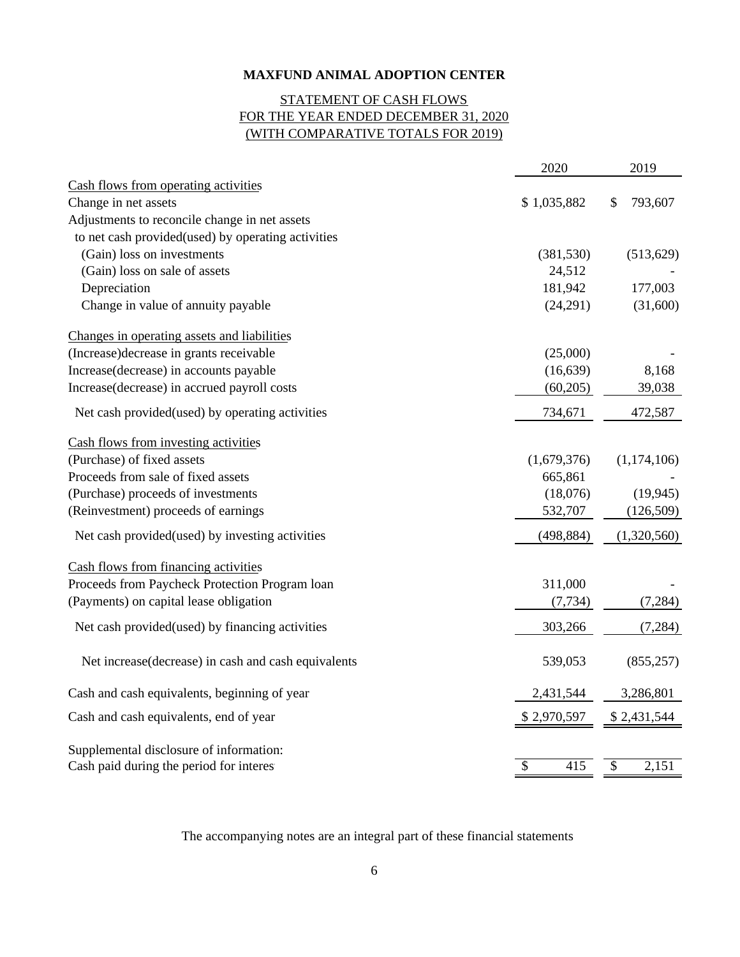# STATEMENT OF CASH FLOWS FOR THE YEAR ENDED DECEMBER 31, 2020 (WITH COMPARATIVE TOTALS FOR 2019)

|                                                      | 2020                                         | 2019          |
|------------------------------------------------------|----------------------------------------------|---------------|
| Cash flows from operating activities                 |                                              |               |
| Change in net assets                                 | \$1,035,882                                  | \$<br>793,607 |
| Adjustments to reconcile change in net assets        |                                              |               |
| to net cash provided(used) by operating activities   |                                              |               |
| (Gain) loss on investments                           | (381, 530)                                   | (513, 629)    |
| (Gain) loss on sale of assets                        | 24,512                                       |               |
| Depreciation                                         | 181,942                                      | 177,003       |
| Change in value of annuity payable                   | (24,291)                                     | (31,600)      |
| Changes in operating assets and liabilities          |                                              |               |
| (Increase) decrease in grants receivable             | (25,000)                                     |               |
| Increase(decrease) in accounts payable               | (16, 639)                                    | 8,168         |
| Increase(decrease) in accrued payroll costs          | (60,205)                                     | 39,038        |
| Net cash provided (used) by operating activities     | 734,671                                      | 472,587       |
| Cash flows from investing activities                 |                                              |               |
| (Purchase) of fixed assets                           | (1,679,376)                                  | (1,174,106)   |
| Proceeds from sale of fixed assets                   | 665,861                                      |               |
| (Purchase) proceeds of investments                   | (18,076)                                     | (19, 945)     |
| (Reinvestment) proceeds of earnings                  | 532,707                                      | (126, 509)    |
| Net cash provided (used) by investing activities     | (498, 884)                                   | (1,320,560)   |
| Cash flows from financing activities                 |                                              |               |
| Proceeds from Paycheck Protection Program loan       | 311,000                                      |               |
| (Payments) on capital lease obligation               | (7, 734)                                     | (7, 284)      |
| Net cash provided (used) by financing activities     | 303,266                                      | (7, 284)      |
| Net increase (decrease) in cash and cash equivalents | 539,053                                      | (855, 257)    |
| Cash and cash equivalents, beginning of year         | 2,431,544                                    | 3,286,801     |
| Cash and cash equivalents, end of year               | \$2,970,597                                  | \$2,431,544   |
| Supplemental disclosure of information:              |                                              |               |
| Cash paid during the period for interes              | $\overline{\mathcal{S}}$<br>$\overline{415}$ | \$<br>2,151   |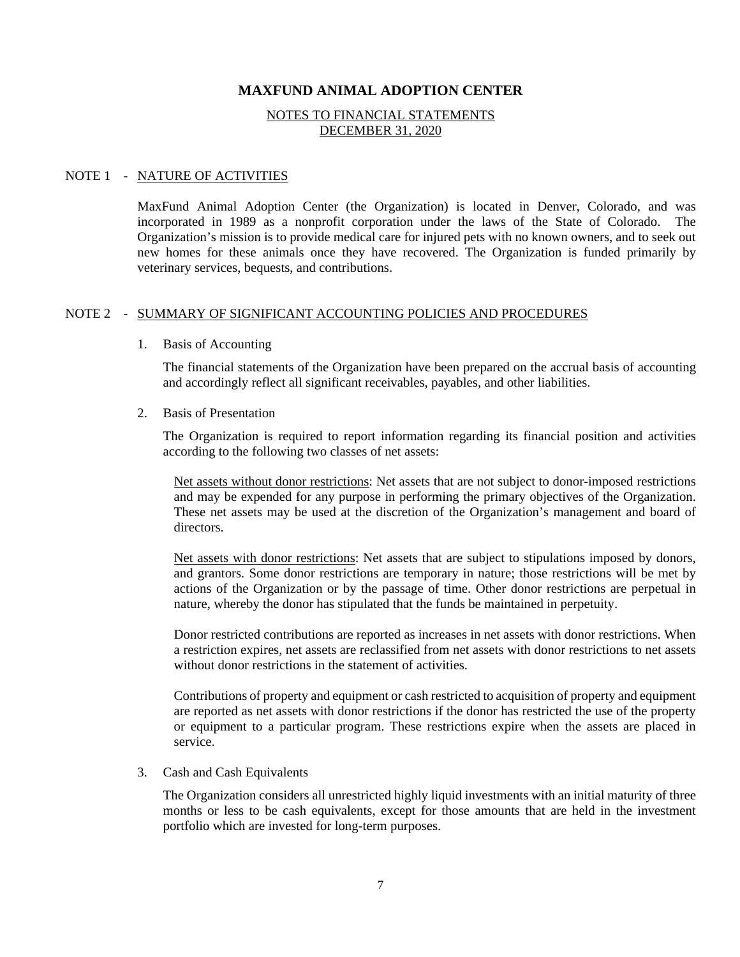#### NOTES TO FINANCIAL STATEMENTS DECEMBER 31, 2020

#### NOTE 1 - NATURE OF ACTIVITIES

MaxFund Animal Adoption Center (the Organization) is located in Denver, Colorado, and was incorporated in 1989 as a nonprofit corporation under the laws of the State of Colorado. The Organization's mission is to provide medical care for injured pets with no known owners, and to seek out new homes for these animals once they have recovered. The Organization is funded primarily by veterinary services, bequests, and contributions.

#### NOTE 2 - SUMMARY OF SIGNIFICANT ACCOUNTING POLICIES AND PROCEDURES

#### 1. Basis of Accounting

The financial statements of the Organization have been prepared on the accrual basis of accounting and accordingly reflect all significant receivables, payables, and other liabilities.

#### 2. Basis of Presentation

The Organization is required to report information regarding its financial position and activities according to the following two classes of net assets:

Net assets without donor restrictions: Net assets that are not subject to donor-imposed restrictions and may be expended for any purpose in performing the primary objectives of the Organization. These net assets may be used at the discretion of the Organization's management and board of directors.

Net assets with donor restrictions: Net assets that are subject to stipulations imposed by donors, and grantors. Some donor restrictions are temporary in nature; those restrictions will be met by actions of the Organization or by the passage of time. Other donor restrictions are perpetual in nature, whereby the donor has stipulated that the funds be maintained in perpetuity.

Donor restricted contributions are reported as increases in net assets with donor restrictions. When a restriction expires, net assets are reclassified from net assets with donor restrictions to net assets without donor restrictions in the statement of activities.

Contributions of property and equipment or cash restricted to acquisition of property and equipment are reported as net assets with donor restrictions if the donor has restricted the use of the property or equipment to a particular program. These restrictions expire when the assets are placed in service.

#### 3. Cash and Cash Equivalents

The Organization considers all unrestricted highly liquid investments with an initial maturity of three months or less to be cash equivalents, except for those amounts that are held in the investment portfolio which are invested for long-term purposes.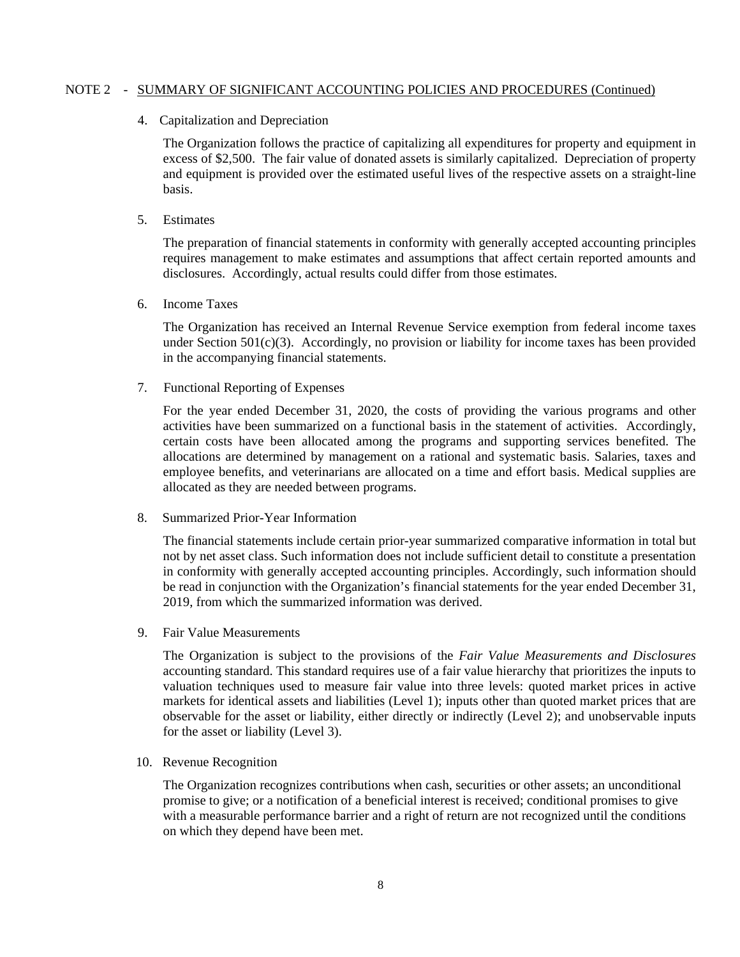#### NOTE 2 - SUMMARY OF SIGNIFICANT ACCOUNTING POLICIES AND PROCEDURES (Continued)

4. Capitalization and Depreciation

The Organization follows the practice of capitalizing all expenditures for property and equipment in excess of \$2,500. The fair value of donated assets is similarly capitalized. Depreciation of property and equipment is provided over the estimated useful lives of the respective assets on a straight-line basis.

5. Estimates

The preparation of financial statements in conformity with generally accepted accounting principles requires management to make estimates and assumptions that affect certain reported amounts and disclosures. Accordingly, actual results could differ from those estimates.

6. Income Taxes

The Organization has received an Internal Revenue Service exemption from federal income taxes under Section 501(c)(3). Accordingly, no provision or liability for income taxes has been provided in the accompanying financial statements.

7. Functional Reporting of Expenses

For the year ended December 31, 2020, the costs of providing the various programs and other activities have been summarized on a functional basis in the statement of activities. Accordingly, certain costs have been allocated among the programs and supporting services benefited. The allocations are determined by management on a rational and systematic basis. Salaries, taxes and employee benefits, and veterinarians are allocated on a time and effort basis. Medical supplies are allocated as they are needed between programs.

8. Summarized Prior-Year Information

The financial statements include certain prior-year summarized comparative information in total but not by net asset class. Such information does not include sufficient detail to constitute a presentation in conformity with generally accepted accounting principles. Accordingly, such information should be read in conjunction with the Organization's financial statements for the year ended December 31, 2019, from which the summarized information was derived.

9. Fair Value Measurements

The Organization is subject to the provisions of the *Fair Value Measurements and Disclosures* accounting standard. This standard requires use of a fair value hierarchy that prioritizes the inputs to valuation techniques used to measure fair value into three levels: quoted market prices in active markets for identical assets and liabilities (Level 1); inputs other than quoted market prices that are observable for the asset or liability, either directly or indirectly (Level 2); and unobservable inputs for the asset or liability (Level 3).

10. Revenue Recognition

The Organization recognizes contributions when cash, securities or other assets; an unconditional promise to give; or a notification of a beneficial interest is received; conditional promises to give with a measurable performance barrier and a right of return are not recognized until the conditions on which they depend have been met.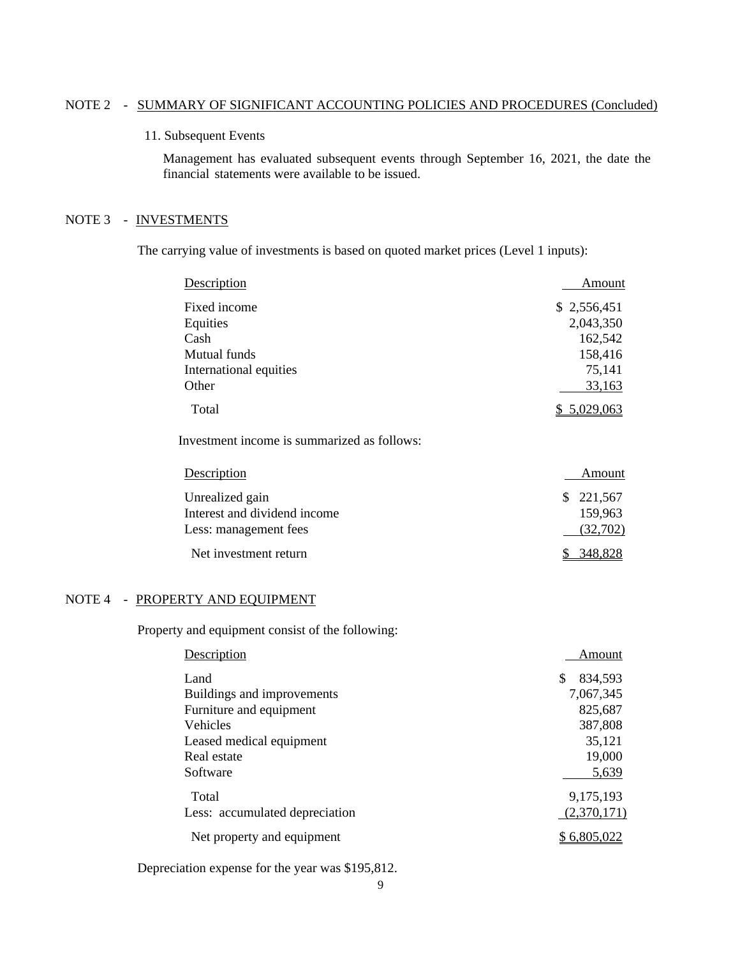#### NOTE 2 - SUMMARY OF SIGNIFICANT ACCOUNTING POLICIES AND PROCEDURES (Concluded)

#### 11. Subsequent Events

Management has evaluated subsequent events through September 16, 2021, the date the financial statements were available to be issued.

### NOTE 3 - INVESTMENTS

The carrying value of investments is based on quoted market prices (Level 1 inputs):

| Description                                 | Amount        |
|---------------------------------------------|---------------|
| Fixed income                                | \$2,556,451   |
| Equities                                    | 2,043,350     |
| Cash                                        | 162,542       |
| Mutual funds                                | 158,416       |
| International equities                      | 75,141        |
| Other                                       | 33,163        |
| Total                                       | \$5,029,063   |
| Investment income is summarized as follows: |               |
| Description                                 | Amount        |
| Unrealized gain                             | \$<br>221,567 |
| Interest and dividend income                | 159,963       |
| Less: management fees                       | (32,702)      |
| Net investment return                       | \$348,828     |

#### NOTE 4 - PROPERTY AND EQUIPMENT

Property and equipment consist of the following:

| Amount        |
|---------------|
| \$<br>834,593 |
| 7,067,345     |
| 825,687       |
| 387,808       |
| 35,121        |
| 19,000        |
| 5,639         |
| 9,175,193     |
| (2,370,171)   |
| \$6,805,022   |
|               |

Depreciation expense for the year was \$195,812.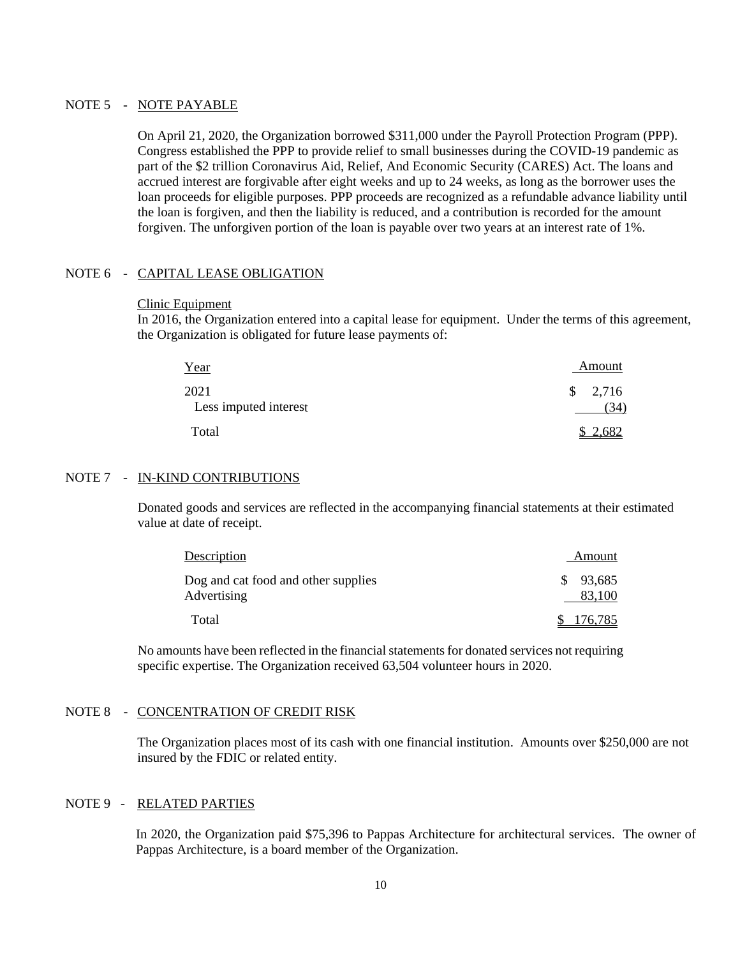#### NOTE 5 - NOTE PAYABLE

On April 21, 2020, the Organization borrowed \$311,000 under the Payroll Protection Program (PPP). Congress established the PPP to provide relief to small businesses during the COVID-19 pandemic as part of the \$2 trillion Coronavirus Aid, Relief, And Economic Security (CARES) Act. The loans and accrued interest are forgivable after eight weeks and up to 24 weeks, as long as the borrower uses the loan proceeds for eligible purposes. PPP proceeds are recognized as a refundable advance liability until the loan is forgiven, and then the liability is reduced, and a contribution is recorded for the amount forgiven. The unforgiven portion of the loan is payable over two years at an interest rate of 1%.

#### NOTE 6 - CAPITAL LEASE OBLIGATION

#### Clinic Equipment

In 2016, the Organization entered into a capital lease for equipment. Under the terms of this agreement, the Organization is obligated for future lease payments of:

| Year                          | Amount             |
|-------------------------------|--------------------|
| 2021<br>Less imputed interest | 2,716<br>S.<br>34) |
| Total                         | 2,682              |

#### NOTE 7 - IN-KIND CONTRIBUTIONS

Donated goods and services are reflected in the accompanying financial statements at their estimated value at date of receipt.

| Description                                        | Amount             |
|----------------------------------------------------|--------------------|
| Dog and cat food and other supplies<br>Advertising | \$93,685<br>83,100 |
| Total                                              | \$176,785          |

No amounts have been reflected in the financial statements for donated services not requiring specific expertise. The Organization received 63,504 volunteer hours in 2020.

# NOTE 8 - CONCENTRATION OF CREDIT RISK

The Organization places most of its cash with one financial institution. Amounts over \$250,000 are not insured by the FDIC or related entity.

#### NOTE 9 - RELATED PARTIES

In 2020, the Organization paid \$75,396 to Pappas Architecture for architectural services. The owner of Pappas Architecture, is a board member of the Organization.